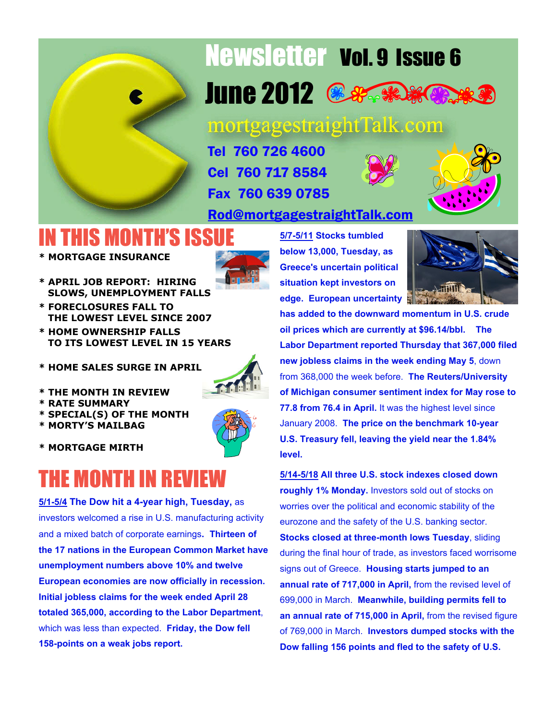

## Newsletter Vol. 9 Issue 6 June 2012 **& Section**

mortgagestraightTalk.com

Tel 760 726 4600 Cel 760 717 8584 Fax 760 639 0785

### [Rod@mortgagestraightTalk.com](mailto:Rod@MortgageStraightTalk.com)

### IN THIS MONTH'S ISSUE

**\* MORTGAGE INSURANCE**



- **\* APRIL JOB REPORT: HIRING SLOWS, UNEMPLOYMENT FALLS**
- **\* FORECLOSURES FALL TO THE LOWEST LEVEL SINCE 2007**
- **\* HOME OWNERSHIP FALLS TO ITS LOWEST LEVEL IN 15 YEARS**
- **\* HOME SALES SURGE IN APRIL**



- **\* THE MONTH IN REVIEW**
- **\* RATE SUMMARY**
- **\* SPECIAL(S) OF THE MONTH**
- **\* MORTY'S MAILBAG**
- **\* MORTGAGE MIRTH**

### THE MONTH IN REVIEW

**5/1-5/4 The Dow hit a 4-year high, Tuesday,** as investors welcomed a rise in U.S. manufacturing activity and a mixed batch of corporate earnings**. Thirteen of the 17 nations in the European Common Market have unemployment numbers above 10% and twelve European economies are now officially in recession. Initial jobless claims for the week ended April 28 totaled 365,000, according to the Labor Department**, which was less than expected. **Friday, the Dow fell 158-points on a weak jobs report.**

**5/7-5/11 Stocks tumbled below 13,000, Tuesday, as Greece's uncertain political situation kept investors on edge. European uncertainty**



**has added to the downward momentum in U.S. crude oil prices which are currently at \$96.14/bbl. The Labor Department reported Thursday that 367,000 filed new jobless claims in the week ending May 5**, down from 368,000 the week before. **The Reuters/University of Michigan consumer sentiment index for May rose to 77.8 from 76.4 in April.** It was the highest level since January 2008. **The price on the benchmark 10-year U.S. Treasury fell, leaving the yield near the 1.84% level.**

**5/14-5/18 All three U.S. stock indexes closed down roughly 1% Monday.** Investors sold out of stocks on worries over the political and economic stability of the eurozone and the safety of the U.S. banking sector. **Stocks closed at three-month lows Tuesday**, sliding during the final hour of trade, as investors faced worrisome signs out of Greece. **Housing starts jumped to an annual rate of 717,000 in April,** from the revised level of 699,000 in March. **Meanwhile, building permits fell to an annual rate of 715,000 in April,** from the revised figure of 769,000 in March. **Investors dumped stocks with the Dow falling 156 points and fled to the safety of U.S.**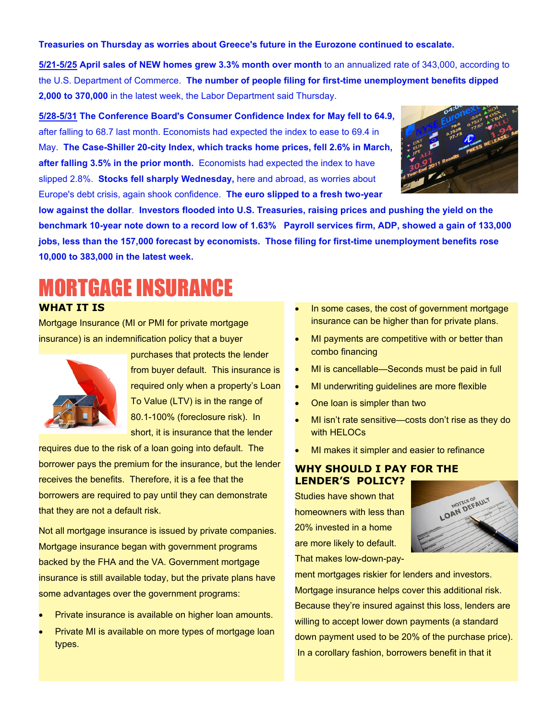#### **Treasuries on Thursday as worries about Greece's future in the Eurozone continued to escalate.**

**5/21-5/25 April sales of NEW homes grew 3.3% month over month** to an annualized rate of 343,000, according to the U.S. Department of Commerce. **The number of people filing for first-time unemployment benefits dipped 2,000 to 370,000** in the latest week, the Labor Department said Thursday.

**5/28-5/31 The Conference Board's Consumer Confidence Index for May fell to 64.9,** after falling to 68.7 last month. Economists had expected the index to ease to 69.4 in May. **The Case-Shiller 20-city Index, which tracks home prices, fell 2.6% in March, after falling 3.5% in the prior month.** Economists had expected the index to have slipped 2.8%. **Stocks fell sharply Wednesday,** here and abroad, as worries about Europe's debt crisis, again shook confidence. **The euro slipped to a fresh two-year**



**low against the dollar**. **Investors flooded into U.S. Treasuries, raising prices and pushing the yield on the benchmark 10-year note down to a record low of 1.63% Payroll services firm, ADP, showed a gain of 133,000 jobs, less than the 157,000 forecast by economists. Those filing for first-time unemployment benefits rose 10,000 to 383,000 in the latest week.**

### MORTGAGE INSURANCE

#### **WHAT IT IS**

Mortgage Insurance (MI or PMI for private mortgage insurance) is an indemnification policy that a buyer



purchases that protects the lender from buyer default. This insurance is required only when a property's Loan To Value (LTV) is in the range of 80.1-100% (foreclosure risk). In short, it is insurance that the lender

requires due to the risk of a loan going into default. The borrower pays the premium for the insurance, but the lender receives the benefits. Therefore, it is a fee that the borrowers are required to pay until they can demonstrate that they are not a default risk.

Not all mortgage insurance is issued by private companies. Mortgage insurance began with government programs backed by the FHA and the VA. Government mortgage insurance is still available today, but the private plans have some advantages over the government programs:

- Private insurance is available on higher loan amounts.
- Private MI is available on more types of mortgage loan types.
- In some cases, the cost of government mortgage insurance can be higher than for private plans.
- MI payments are competitive with or better than combo financing
- MI is cancellable—Seconds must be paid in full
- MI underwriting guidelines are more flexible
- · One loan is simpler than two
- MI isn't rate sensitive—costs don't rise as they do with HELOCs
- MI makes it simpler and easier to refinance

#### **WHY SHOULD I PAY FOR THE LENDER'S POLICY?**

Studies have shown that homeowners with less than 20% invested in a home are more likely to default. That makes low-down-pay-



ment mortgages riskier for lenders and investors. Mortgage insurance helps cover this additional risk. Because they're insured against this loss, lenders are willing to accept lower down payments (a standard down payment used to be 20% of the purchase price). In a corollary fashion, borrowers benefit in that it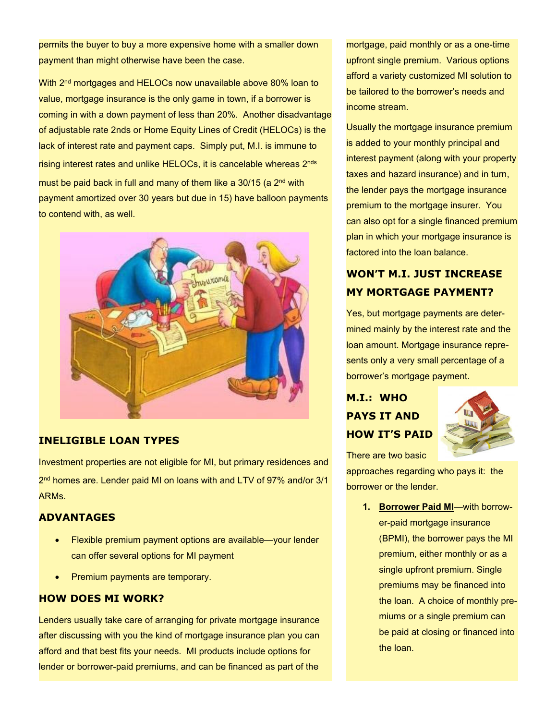permits the buyer to buy a more expensive home with a smaller down payment than might otherwise have been the case.

With 2<sup>nd</sup> mortgages and HELOCs now unavailable above 80% loan to value, mortgage insurance is the only game in town, if a borrower is coming in with a down payment of less than 20%. Another disadvantage of adjustable rate 2nds or Home Equity Lines of Credit (HELOCs) is the lack of interest rate and payment caps. Simply put, M.I. is immune to rising interest rates and unlike HELOCs, it is cancelable whereas 2nds must be paid back in full and many of them like a  $30/15$  (a  $2<sup>nd</sup>$  with payment amortized over 30 years but due in 15) have balloon payments to contend with, as well.



#### **INELIGIBLE LOAN TYPES**

Investment properties are not eligible for MI, but primary residences and 2 nd homes are. Lender paid MI on loans with and LTV of 97% and/or 3/1 ARMs.

#### **ADVANTAGES**

- · Flexible premium payment options are available—your lender can offer several options for MI payment
- Premium payments are temporary.

#### **HOW DOES MI WORK?**

Lenders usually take care of arranging for private mortgage insurance after discussing with you the kind of mortgage insurance plan you can afford and that best fits your needs. MI products include options for lender or borrower-paid premiums, and can be financed as part of the

mortgage, paid monthly or as a one-time upfront single premium. Various options afford a variety customized MI solution to be tailored to the borrower's needs and income stream.

Usually the mortgage insurance premium is added to your monthly principal and interest payment (along with your property taxes and hazard insurance) and in turn, the lender pays the mortgage insurance premium to the mortgage insurer. You can also opt for a single financed premium plan in which your mortgage insurance is factored into the loan balance.

#### **WON'T M.I. JUST INCREASE MY MORTGAGE PAYMENT?**

Yes, but mortgage payments are determined mainly by the interest rate and the loan amount. Mortgage insurance represents only a very small percentage of a borrower's mortgage payment.

#### **M.I.: WHO PAYS IT AND HOW IT'S PAID**



There are two basic

approaches regarding who pays it: the borrower or the lender.

> **1. Borrower Paid MI**—with borrower-paid mortgage insurance (BPMI), the borrower pays the MI premium, either monthly or as a single upfront premium. Single premiums may be financed into the loan. A choice of monthly premiums or a single premium can be paid at closing or financed into the loan.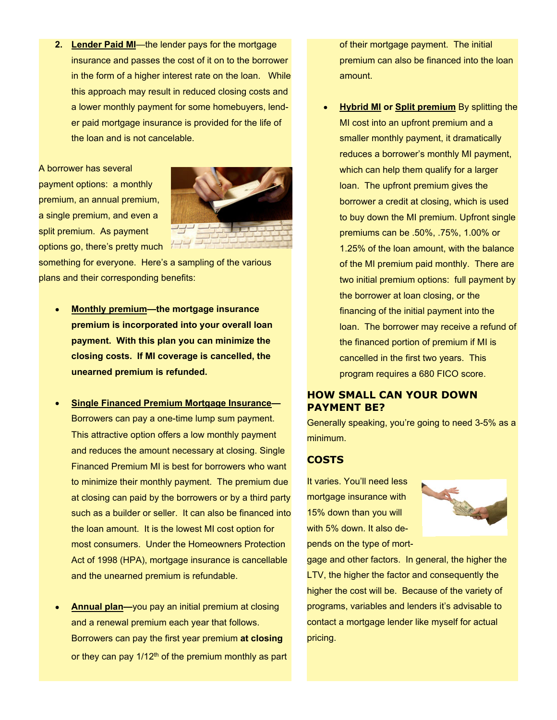**2. Lender Paid MI**—the lender pays for the mortgage insurance and passes the cost of it on to the borrower in the form of a higher interest rate on the loan. While this approach may result in reduced closing costs and a lower monthly payment for some homebuyers, lender paid mortgage insurance is provided for the life of the loan and is not cancelable.

A borrower has several payment options: a monthly premium, an annual premium, a single premium, and even a split premium. As payment options go, there's pretty much



something for everyone. Here's a sampling of the various plans and their corresponding benefits:

- **Monthly premium—the mortgage insurance premium is incorporated into your overall loan payment. With this plan you can minimize the closing costs. If MI coverage is cancelled, the unearned premium is refunded.**
- **Single Financed Premium Mortgage Insurance—** Borrowers can pay a one-time lump sum payment. This attractive option offers a low monthly payment and reduces the amount necessary at closing. Single Financed Premium MI is best for borrowers who want to minimize their monthly payment. The premium due at closing can paid by the borrowers or by a third party such as a builder or seller. It can also be financed into the loan amount. It is the lowest MI cost option for most consumers. Under the Homeowners Protection Act of 1998 (HPA), mortgage insurance is cancellable and the unearned premium is refundable.
- **Annual plan—**you pay an initial premium at closing and a renewal premium each year that follows. Borrowers can pay the first year premium **at closing** or they can pay  $1/12<sup>th</sup>$  of the premium monthly as part

of their mortgage payment. The initial premium can also be financed into the loan amount.

**Hybrid MI or Split premium** By splitting the MI cost into an upfront premium and a smaller monthly payment, it dramatically reduces a borrower's monthly MI payment, which can help them qualify for a larger loan. The upfront premium gives the borrower a credit at closing, which is used to buy down the MI premium. Upfront single premiums can be .50%, .75%, 1.00% or 1.25% of the loan amount, with the balance of the MI premium paid monthly. There are two initial premium options: full payment by the borrower at loan closing, or the financing of the initial payment into the loan. The borrower may receive a refund of the financed portion of premium if MI is cancelled in the first two years. This program requires a 680 FICO score.

#### **HOW SMALL CAN YOUR DOWN PAYMENT BE?**

Generally speaking, you're going to need 3-5% as a minimum.

#### **COSTS**

It varies. You'll need less mortgage insurance with 15% down than you will with 5% down. It also depends on the type of mort-



gage and other factors. In general, the higher the LTV, the higher the factor and consequently the higher the cost will be. Because of the variety of programs, variables and lenders it's advisable to contact a mortgage lender like myself for actual pricing.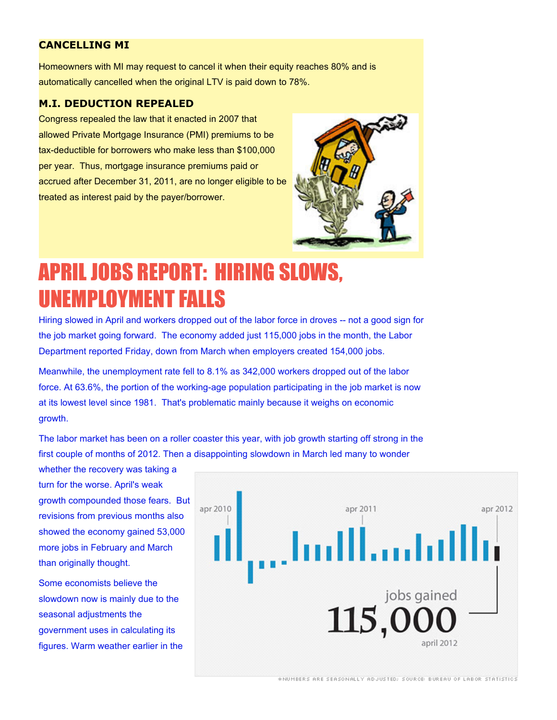#### **CANCELLING MI**

Homeowners with MI may request to cancel it when their equity reaches 80% and is automatically cancelled when the original LTV is paid down to 78%.

#### **M.I. DEDUCTION REPEALED**

Congress repealed the law that it enacted in 2007 that allowed Private Mortgage Insurance (PMI) premiums to be tax-deductible for borrowers who make less than \$100,000 per year. Thus, mortgage insurance premiums paid or accrued after December 31, 2011, are no longer eligible to be treated as interest paid by the payer/borrower.



### APRIL JOBS REPORT: HIRING SLOWS, UNEMPLOYMENT FALLS

Hiring slowed in April and workers dropped out of the labor force in droves -- not a good sign for the job market going forward. The economy added just 115,000 jobs in the month, the Labor Department reported Friday, down from March when employers created 154,000 jobs.

Meanwhile, the unemployment rate fell to 8.1% as 342,000 workers dropped out of the labor force. At 63.6%, the portion of the working-age population participating in the job market is now at its lowest level since 1981. That's problematic mainly because it weighs on economic growth.

The labor market has been on a roller coaster this year, with job growth starting off strong in the first couple of months of 2012. Then a disappointing slowdown in March led many to wonder

whether the recovery was taking a turn for the worse. April's weak growth compounded those fears. But revisions from previous months also showed the economy gained 53,000 more jobs in February and March than originally thought.

Some economists believe the slowdown now is mainly due to the seasonal adjustments the government uses in calculating its figures. Warm weather earlier in the



\*NUMBERS ARE SEASONALLY ADJUSTED; SOURCE: BUREAU OF LABOR STATISTICS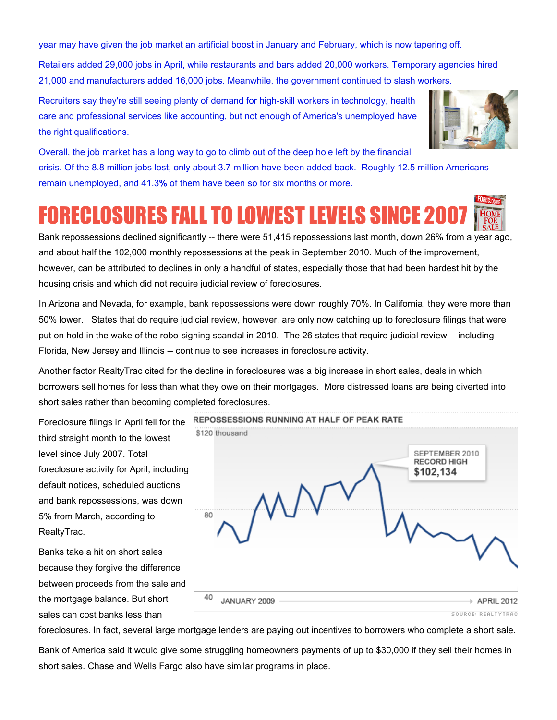year may have given the job market an artificial boost in January and February, which is now tapering off.

Retailers added 29,000 jobs in April, while restaurants and bars added 20,000 workers. Temporary agencies hired 21,000 and manufacturers added 16,000 jobs. Meanwhile, the government continued to slash workers.

Recruiters say they're still seeing plenty of demand for high-skill workers in technology, health care and professional services like accounting, but not enough of America's unemployed have the right qualifications.



Overall, the job market has a long way to go to climb out of the deep hole left by the financial crisis. Of the 8.8 million jobs lost, only about 3.7 million have been added back. Roughly 12.5 million Americans remain unemployed, and 41.3**%** of them have been so for six months or more.

### **FORECLOSURES FALL TO LOWEST LEVELS SINCE 20**

Bank repossessions declined significantly -- there were 51,415 repossessions last month, down 26% from a year ago, and about half the 102,000 monthly repossessions at the peak in September 2010. Much of the improvement, however, can be attributed to declines in only a handful of states, especially those that had been hardest hit by the housing crisis and which did not require judicial review of foreclosures.

In Arizona and Nevada, for example, bank repossessions were down roughly 70%. In California, they were more than 50% lower. States that do require judicial review, however, are only now catching up to foreclosure filings that were put on hold in the wake of the robo-signing scandal in 2010. The 26 states that require judicial review -- including Florida, New Jersey and Illinois -- continue to see increases in foreclosure activity.

Another factor RealtyTrac cited for the decline in foreclosures was a big increase in short sales, deals in which borrowers sell homes for less than what they owe on their mortgages. More distressed loans are being diverted into short sales rather than becoming completed foreclosures.

Foreclosure filings in April fell for the third straight month to the lowest level since July 2007. Total foreclosure activity for April, including default notices, scheduled auctions and bank repossessions, was down 5% from March, according to RealtyTrac.

Banks take a hit on short sales because they forgive the difference between proceeds from the sale and the mortgage balance. But short sales can cost banks less than



foreclosures. In fact, several large mortgage lenders are paying out incentives to borrowers who complete a short sale.

Bank of America said it would give some struggling homeowners payments of up to \$30,000 if they sell their homes in short sales. Chase and Wells Fargo also have similar programs in place.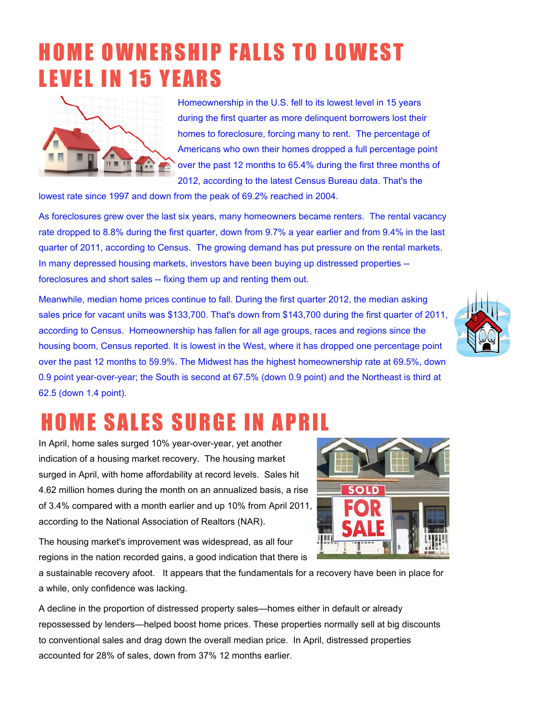### **HOME OWNERSHIP FALLS TO LOWEST LEVEL IN 15 YEARS**



Homeownership in the U.S. fell to its lowest level in 15 years during the first quarter as more delinquent borrowers lost their homes to foreclosure, forcing many to rent. The percentage of Americans who own their homes dropped a full percentage point over the past 12 months to 65.4% during the first three months of 2012, according to the latest Census Bureau data. That's the

lowest rate since 1997 and down from the peak of 69.2% reached in 2004.

As foreclosures grew over the last six years, many homeowners became renters. The rental vacancy rate dropped to 8.8% during the first quarter, down from 9.7% a year earlier and from 9.4% in the last quarter of 2011, according to Census. The growing demand has put pressure on the rental markets. In many depressed housing markets, investors have been buying up distressed properties - foreclosures and short sales -- fixing them up and renting them out.

Meanwhile, median home prices continue to fall. During the first quarter 2012, the median asking sales price for vacant units was \$133,700. That's down from \$143,700 during the first quarter of 2011, according to Census. Homeownership has fallen for all age groups, races and regions since the housing boom, Census reported. It is lowest in the West, where it has dropped one percentage point over the past 12 months to 59.9%. The Midwest has the highest homeownership rate at 69.5%, down 0.9 point year-over-year; the South is second at 67.5% (down 0.9 point) and the Northeast is third at 62.5 (down 1.4 point).



### **HOME SALES SURGE IN APRI**

In April, home sales surged 10% year-over-year, yet another indication of a housing market recovery. The housing market surged in April, with home affordability at record levels. Sales hit 4.62 million homes during the month on an annualized basis, a rise of 3.4% compared with a month earlier and up 10% from April 2011, according to the National Association of Realtors (NAR).



The housing market's improvement was widespread, as all four regions in the nation recorded gains, a good indication that there is

a sustainable recovery afoot. It appears that the fundamentals for a recovery have been in place for a while, only confidence was lacking.

A decline in the proportion of distressed property sales—homes either in default or already repossessed by lenders—helped boost home prices. These properties normally sell at big discounts to conventional sales and drag down the overall median price. In April, distressed properties accounted for 28% of sales, down from 37% 12 months earlier.